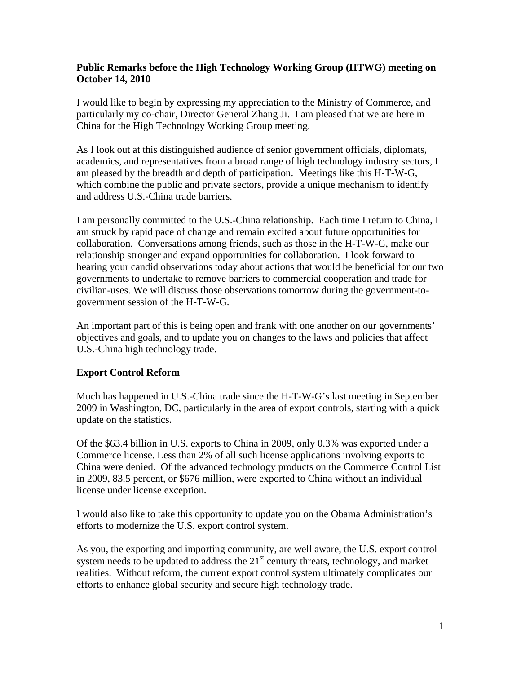## **Public Remarks before the High Technology Working Group (HTWG) meeting on October 14, 2010**

I would like to begin by expressing my appreciation to the Ministry of Commerce, and particularly my co-chair, Director General Zhang Ji. I am pleased that we are here in China for the High Technology Working Group meeting.

As I look out at this distinguished audience of senior government officials, diplomats, academics, and representatives from a broad range of high technology industry sectors, I am pleased by the breadth and depth of participation. Meetings like this H-T-W-G, which combine the public and private sectors, provide a unique mechanism to identify and address U.S.-China trade barriers.

I am personally committed to the U.S.-China relationship. Each time I return to China, I am struck by rapid pace of change and remain excited about future opportunities for collaboration. Conversations among friends, such as those in the H-T-W-G, make our relationship stronger and expand opportunities for collaboration. I look forward to hearing your candid observations today about actions that would be beneficial for our two governments to undertake to remove barriers to commercial cooperation and trade for civilian-uses. We will discuss those observations tomorrow during the government-togovernment session of the H-T-W-G.

An important part of this is being open and frank with one another on our governments' objectives and goals, and to update you on changes to the laws and policies that affect U.S.-China high technology trade.

## **Export Control Reform**

Much has happened in U.S.-China trade since the H-T-W-G's last meeting in September 2009 in Washington, DC, particularly in the area of export controls, starting with a quick update on the statistics.

Of the \$63.4 billion in U.S. exports to China in 2009, only 0.3% was exported under a Commerce license. Less than 2% of all such license applications involving exports to China were denied. Of the advanced technology products on the Commerce Control List in 2009, 83.5 percent, or \$676 million, were exported to China without an individual license under license exception.

I would also like to take this opportunity to update you on the Obama Administration's efforts to modernize the U.S. export control system.

As you, the exporting and importing community, are well aware, the U.S. export control system needs to be updated to address the  $21<sup>st</sup>$  century threats, technology, and market realities. Without reform, the current export control system ultimately complicates our efforts to enhance global security and secure high technology trade.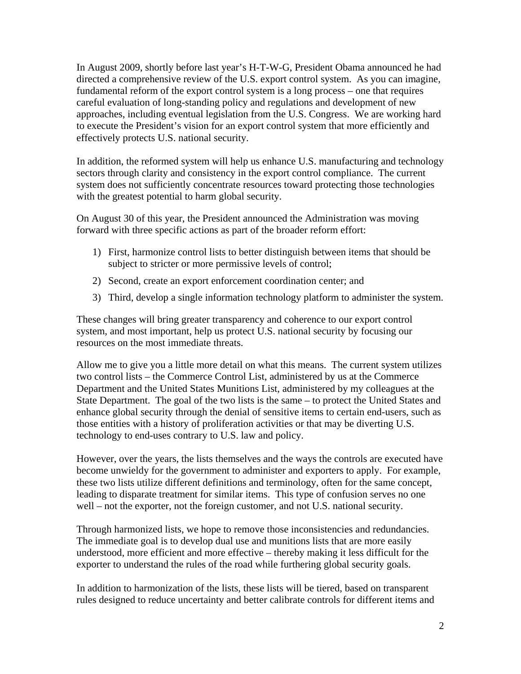In August 2009, shortly before last year's H-T-W-G, President Obama announced he had directed a comprehensive review of the U.S. export control system. As you can imagine, fundamental reform of the export control system is a long process – one that requires careful evaluation of long-standing policy and regulations and development of new approaches, including eventual legislation from the U.S. Congress. We are working hard to execute the President's vision for an export control system that more efficiently and effectively protects U.S. national security.

In addition, the reformed system will help us enhance U.S. manufacturing and technology sectors through clarity and consistency in the export control compliance. The current system does not sufficiently concentrate resources toward protecting those technologies with the greatest potential to harm global security.

On August 30 of this year, the President announced the Administration was moving forward with three specific actions as part of the broader reform effort:

- 1) First, harmonize control lists to better distinguish between items that should be subject to stricter or more permissive levels of control;
- 2) Second, create an export enforcement coordination center; and
- 3) Third, develop a single information technology platform to administer the system.

These changes will bring greater transparency and coherence to our export control system, and most important, help us protect U.S. national security by focusing our resources on the most immediate threats.

Allow me to give you a little more detail on what this means. The current system utilizes two control lists – the Commerce Control List, administered by us at the Commerce Department and the United States Munitions List, administered by my colleagues at the State Department. The goal of the two lists is the same – to protect the United States and enhance global security through the denial of sensitive items to certain end-users, such as those entities with a history of proliferation activities or that may be diverting U.S. technology to end-uses contrary to U.S. law and policy.

However, over the years, the lists themselves and the ways the controls are executed have become unwieldy for the government to administer and exporters to apply. For example, these two lists utilize different definitions and terminology, often for the same concept, leading to disparate treatment for similar items. This type of confusion serves no one well – not the exporter, not the foreign customer, and not U.S. national security.

Through harmonized lists, we hope to remove those inconsistencies and redundancies. The immediate goal is to develop dual use and munitions lists that are more easily understood, more efficient and more effective – thereby making it less difficult for the exporter to understand the rules of the road while furthering global security goals.

In addition to harmonization of the lists, these lists will be tiered, based on transparent rules designed to reduce uncertainty and better calibrate controls for different items and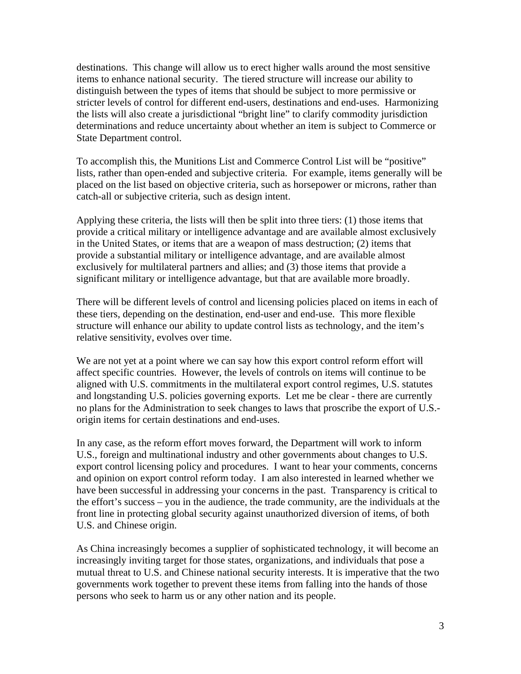destinations. This change will allow us to erect higher walls around the most sensitive items to enhance national security. The tiered structure will increase our ability to distinguish between the types of items that should be subject to more permissive or stricter levels of control for different end-users, destinations and end-uses. Harmonizing the lists will also create a jurisdictional "bright line" to clarify commodity jurisdiction determinations and reduce uncertainty about whether an item is subject to Commerce or State Department control.

To accomplish this, the Munitions List and Commerce Control List will be "positive" lists, rather than open-ended and subjective criteria. For example, items generally will be placed on the list based on objective criteria, such as horsepower or microns, rather than catch-all or subjective criteria, such as design intent.

Applying these criteria, the lists will then be split into three tiers: (1) those items that provide a critical military or intelligence advantage and are available almost exclusively in the United States, or items that are a weapon of mass destruction; (2) items that provide a substantial military or intelligence advantage, and are available almost exclusively for multilateral partners and allies; and (3) those items that provide a significant military or intelligence advantage, but that are available more broadly.

There will be different levels of control and licensing policies placed on items in each of these tiers, depending on the destination, end-user and end-use. This more flexible structure will enhance our ability to update control lists as technology, and the item's relative sensitivity, evolves over time.

We are not yet at a point where we can say how this export control reform effort will affect specific countries. However, the levels of controls on items will continue to be aligned with U.S. commitments in the multilateral export control regimes, U.S. statutes and longstanding U.S. policies governing exports. Let me be clear - there are currently no plans for the Administration to seek changes to laws that proscribe the export of U.S. origin items for certain destinations and end-uses.

In any case, as the reform effort moves forward, the Department will work to inform U.S., foreign and multinational industry and other governments about changes to U.S. export control licensing policy and procedures. I want to hear your comments, concerns and opinion on export control reform today. I am also interested in learned whether we have been successful in addressing your concerns in the past. Transparency is critical to the effort's success – you in the audience, the trade community, are the individuals at the front line in protecting global security against unauthorized diversion of items, of both U.S. and Chinese origin.

As China increasingly becomes a supplier of sophisticated technology, it will become an increasingly inviting target for those states, organizations, and individuals that pose a mutual threat to U.S. and Chinese national security interests. It is imperative that the two governments work together to prevent these items from falling into the hands of those persons who seek to harm us or any other nation and its people.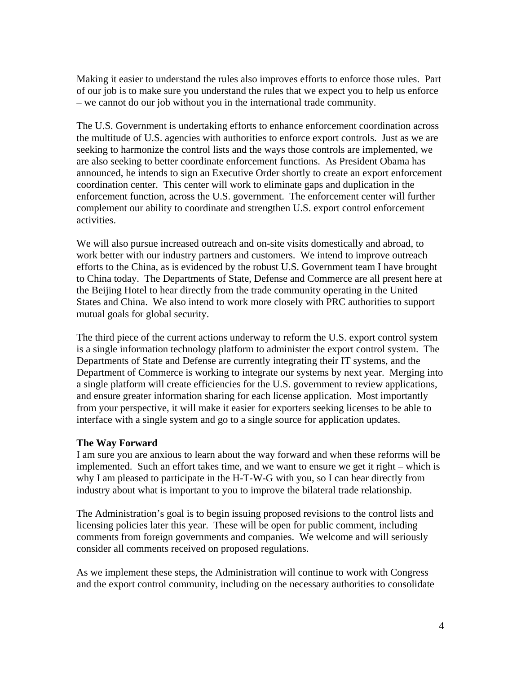Making it easier to understand the rules also improves efforts to enforce those rules. Part of our job is to make sure you understand the rules that we expect you to help us enforce – we cannot do our job without you in the international trade community.

The U.S. Government is undertaking efforts to enhance enforcement coordination across the multitude of U.S. agencies with authorities to enforce export controls. Just as we are seeking to harmonize the control lists and the ways those controls are implemented, we are also seeking to better coordinate enforcement functions. As President Obama has announced, he intends to sign an Executive Order shortly to create an export enforcement coordination center. This center will work to eliminate gaps and duplication in the enforcement function, across the U.S. government. The enforcement center will further complement our ability to coordinate and strengthen U.S. export control enforcement activities.

We will also pursue increased outreach and on-site visits domestically and abroad, to work better with our industry partners and customers. We intend to improve outreach efforts to the China, as is evidenced by the robust U.S. Government team I have brought to China today. The Departments of State, Defense and Commerce are all present here at the Beijing Hotel to hear directly from the trade community operating in the United States and China. We also intend to work more closely with PRC authorities to support mutual goals for global security.

The third piece of the current actions underway to reform the U.S. export control system is a single information technology platform to administer the export control system. The Departments of State and Defense are currently integrating their IT systems, and the Department of Commerce is working to integrate our systems by next year. Merging into a single platform will create efficiencies for the U.S. government to review applications, and ensure greater information sharing for each license application. Most importantly from your perspective, it will make it easier for exporters seeking licenses to be able to interface with a single system and go to a single source for application updates.

## **The Way Forward**

I am sure you are anxious to learn about the way forward and when these reforms will be implemented. Such an effort takes time, and we want to ensure we get it right – which is why I am pleased to participate in the H-T-W-G with you, so I can hear directly from industry about what is important to you to improve the bilateral trade relationship.

The Administration's goal is to begin issuing proposed revisions to the control lists and licensing policies later this year. These will be open for public comment, including comments from foreign governments and companies. We welcome and will seriously consider all comments received on proposed regulations.

As we implement these steps, the Administration will continue to work with Congress and the export control community, including on the necessary authorities to consolidate